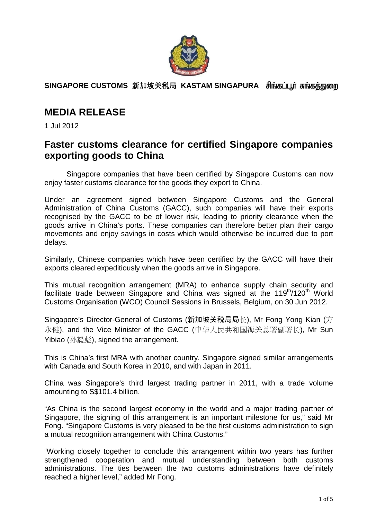

**SINGAPORE CUSTOMS** 新加坡关税局 **KASTAM SINGAPURA** 

## **MEDIA RELEASE**

1 Jul 2012

## **Faster customs clearance for certified Singapore companies exporting goods to China**

Singapore companies that have been certified by Singapore Customs can now enjoy faster customs clearance for the goods they export to China.

Under an agreement signed between Singapore Customs and the General Administration of China Customs (GACC), such companies will have their exports recognised by the GACC to be of lower risk, leading to priority clearance when the goods arrive in China's ports. These companies can therefore better plan their cargo movements and enjoy savings in costs which would otherwise be incurred due to port delays.

Similarly, Chinese companies which have been certified by the GACC will have their exports cleared expeditiously when the goods arrive in Singapore.

This mutual recognition arrangement (MRA) to enhance supply chain security and facilitate trade between Singapore and China was signed at the  $119<sup>th</sup>/120<sup>th</sup>$  World Customs Organisation (WCO) Council Sessions in Brussels, Belgium, on 30 Jun 2012.

Singapore's Director-General of Customs (新加坡关税局局长), Mr Fong Yong Kian (方 永健), and the Vice Minister of the GACC (中华人民共和国海关总署副署长), Mr Sun Yibiao (孙毅彪), signed the arrangement.

This is China's first MRA with another country. Singapore signed similar arrangements with Canada and South Korea in 2010, and with Japan in 2011.

China was Singapore's third largest trading partner in 2011, with a trade volume amounting to S\$101.4 billion.

"As China is the second largest economy in the world and a major trading partner of Singapore, the signing of this arrangement is an important milestone for us," said Mr Fong. "Singapore Customs is very pleased to be the first customs administration to sign a mutual recognition arrangement with China Customs."

"Working closely together to conclude this arrangement within two years has further strengthened cooperation and mutual understanding between both customs administrations. The ties between the two customs administrations have definitely reached a higher level," added Mr Fong.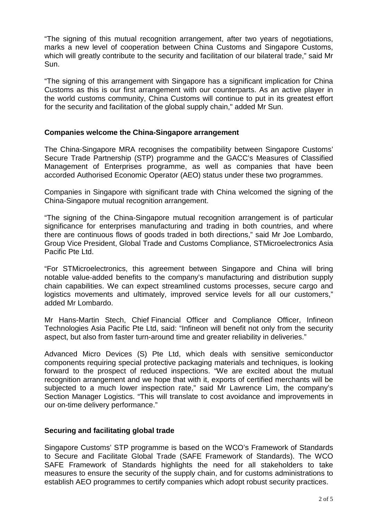"The signing of this mutual recognition arrangement, after two years of negotiations, marks a new level of cooperation between China Customs and Singapore Customs, which will greatly contribute to the security and facilitation of our bilateral trade," said Mr Sun.

"The signing of this arrangement with Singapore has a significant implication for China Customs as this is our first arrangement with our counterparts. As an active player in the world customs community, China Customs will continue to put in its greatest effort for the security and facilitation of the global supply chain," added Mr Sun.

## **Companies welcome the China-Singapore arrangement**

The China-Singapore MRA recognises the compatibility between Singapore Customs' Secure Trade Partnership (STP) programme and the GACC's Measures of Classified Management of Enterprises programme, as well as companies that have been accorded Authorised Economic Operator (AEO) status under these two programmes.

Companies in Singapore with significant trade with China welcomed the signing of the China-Singapore mutual recognition arrangement.

"The signing of the China-Singapore mutual recognition arrangement is of particular significance for enterprises manufacturing and trading in both countries, and where there are continuous flows of goods traded in both directions," said Mr Joe Lombardo, Group Vice President, Global Trade and Customs Compliance, STMicroelectronics Asia Pacific Pte Ltd.

"For STMicroelectronics, this agreement between Singapore and China will bring notable value-added benefits to the company's manufacturing and distribution supply chain capabilities. We can expect streamlined customs processes, secure cargo and logistics movements and ultimately, improved service levels for all our customers." added Mr Lombardo.

Mr Hans-Martin Stech, Chief Financial Officer and Compliance Officer, Infineon Technologies Asia Pacific Pte Ltd, said: "Infineon will benefit not only from the security aspect, but also from faster turn-around time and greater reliability in deliveries."

Advanced Micro Devices (S) Pte Ltd, which deals with sensitive semiconductor components requiring special protective packaging materials and techniques, is looking forward to the prospect of reduced inspections. "We are excited about the mutual recognition arrangement and we hope that with it, exports of certified merchants will be subjected to a much lower inspection rate," said Mr Lawrence Lim, the company's Section Manager Logistics. "This will translate to cost avoidance and improvements in our on-time delivery performance."

## **Securing and facilitating global trade**

Singapore Customs' STP programme is based on the WCO's Framework of Standards to Secure and Facilitate Global Trade (SAFE Framework of Standards). The WCO SAFE Framework of Standards highlights the need for all stakeholders to take measures to ensure the security of the supply chain, and for customs administrations to establish AEO programmes to certify companies which adopt robust security practices.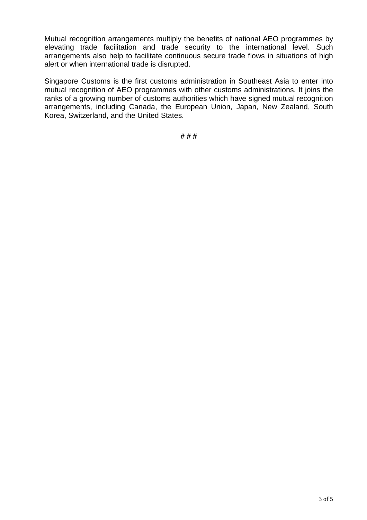Mutual recognition arrangements multiply the benefits of national AEO programmes by elevating trade facilitation and trade security to the international level. Such arrangements also help to facilitate continuous secure trade flows in situations of high alert or when international trade is disrupted.

Singapore Customs is the first customs administration in Southeast Asia to enter into mutual recognition of AEO programmes with other customs administrations. It joins the ranks of a growing number of customs authorities which have signed mutual recognition arrangements, including Canada, the European Union, Japan, New Zealand, South Korea, Switzerland, and the United States.

**# # #**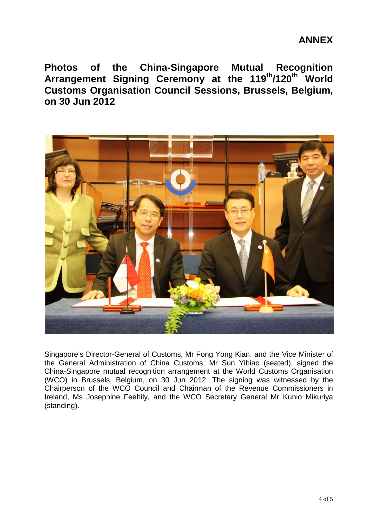**Photos of the China-Singapore Mutual Recognition Arrangement Signing Ceremony at the 119th/120th World Customs Organisation Council Sessions, Brussels, Belgium, on 30 Jun 2012** 



Singapore's Director-General of Customs, Mr Fong Yong Kian, and the Vice Minister of the General Administration of China Customs, Mr Sun Yibiao (seated), signed the China-Singapore mutual recognition arrangement at the World Customs Organisation (WCO) in Brussels, Belgium, on 30 Jun 2012. The signing was witnessed by the Chairperson of the WCO Council and Chairman of the Revenue Commissioners in Ireland, Ms Josephine Feehily, and the WCO Secretary General Mr Kunio Mikuriya (standing).